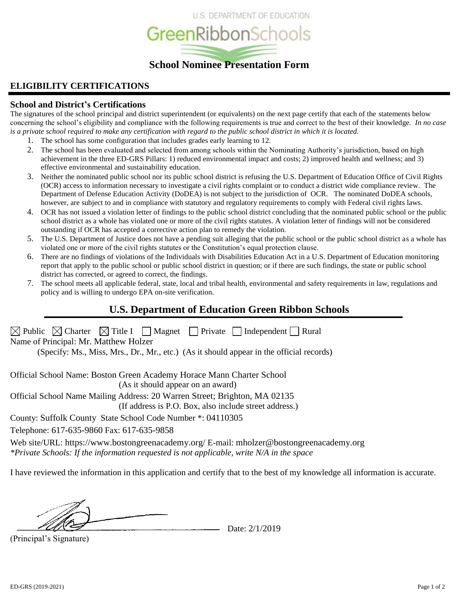

## **ELIGIBILITY CERTIFICATIONS**

#### **School and District's Certifications**

The signatures of the school principal and district superintendent (or equivalents) on the next page certify that each of the statements below concerning the school's eligibility and compliance with the following requirements is true and correct to the best of their knowledge. *In no case is a private school required to make any certification with regard to the public school district in which it is located.*

- 1. The school has some configuration that includes grades early learning to 12.
- 2. The school has been evaluated and selected from among schools within the Nominating Authority's jurisdiction, based on high achievement in the three ED-GRS Pillars: 1) reduced environmental impact and costs; 2) improved health and wellness; and 3) effective environmental and sustainability education.
- 3. Neither the nominated public school nor its public school district is refusing the U.S. Department of Education Office of Civil Rights (OCR) access to information necessary to investigate a civil rights complaint or to conduct a district wide compliance review. The Department of Defense Education Activity (DoDEA) is not subject to the jurisdiction of OCR. The nominated DoDEA schools, however, are subject to and in compliance with statutory and regulatory requirements to comply with Federal civil rights laws.
- 4. OCR has not issued a violation letter of findings to the public school district concluding that the nominated public school or the public school district as a whole has violated one or more of the civil rights statutes. A violation letter of findings will not be considered outstanding if OCR has accepted a corrective action plan to remedy the violation.
- 5. The U.S. Department of Justice does not have a pending suit alleging that the public school or the public school district as a whole has violated one or more of the civil rights statutes or the Constitution's equal protection clause.
- 6. There are no findings of violations of the Individuals with Disabilities Education Act in a U.S. Department of Education monitoring report that apply to the public school or public school district in question; or if there are such findings, the state or public school district has corrected, or agreed to correct, the findings.
- 7. The school meets all applicable federal, state, local and tribal health, environmental and safety requirements in law, regulations and policy and is willing to undergo EPA on-site verification.

## **U.S. Department of Education Green Ribbon Schools**

| $\boxtimes$ Public $\boxtimes$ Charter $\boxtimes$ Title I $\Box$ Magnet $\Box$ Private $\Box$ Independent $\Box$ Rural<br>Name of Principal: Mr. Matthew Holzer<br>(Specify: Ms., Miss, Mrs., Dr., Mr., etc.) (As it should appear in the official records) |
|--------------------------------------------------------------------------------------------------------------------------------------------------------------------------------------------------------------------------------------------------------------|
| Official School Name: Boston Green Academy Horace Mann Charter School<br>(As it should appear on an award)                                                                                                                                                   |
| Official School Name Mailing Address: 20 Warren Street; Brighton, MA 02135<br>(If address is P.O. Box, also include street address.)                                                                                                                         |
| County: Suffolk County State School Code Number *: 04110305                                                                                                                                                                                                  |
| Telephone: 617-635-9860 Fax: 617-635-9858                                                                                                                                                                                                                    |
| Web site/URL: https://www.bostongreenacademy.org/ E-mail: mholzer@bostongreenacademy.org<br>*Private Schools: If the information requested is not applicable, write $N/A$ in the space                                                                       |
| I have reviewed the information in this application and certify that to the best of my knowledge all information is accurate.                                                                                                                                |

(Principal's Signature)

Date: 2/1/2019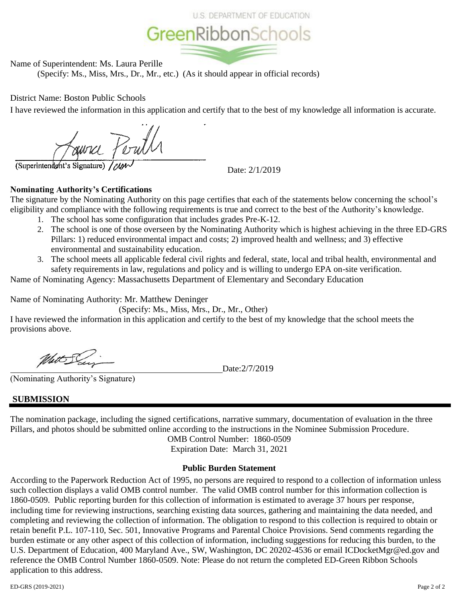



Name of Superintendent: Ms. Laura Perille

(Specify: Ms., Miss, Mrs., Dr., Mr., etc.) (As it should appear in official records)

District Name: Boston Public Schools

I have reviewed the information in this application and certify that to the best of my knowledge all information is accurate.

Houvre Perull

(Superintendent's Signature)

Date: 2/1/2019

## **Nominating Authority's Certifications**

The signature by the Nominating Authority on this page certifies that each of the statements below concerning the school's eligibility and compliance with the following requirements is true and correct to the best of the Authority's knowledge.

- 1. The school has some configuration that includes grades Pre-K-12.
- 2. The school is one of those overseen by the Nominating Authority which is highest achieving in the three ED-GRS Pillars: 1) reduced environmental impact and costs; 2) improved health and wellness; and 3) effective environmental and sustainability education.
- 3. The school meets all applicable federal civil rights and federal, state, local and tribal health, environmental and safety requirements in law, regulations and policy and is willing to undergo EPA on-site verification.

Name of Nominating Agency: Massachusetts Department of Elementary and Secondary Education

Name of Nominating Authority: Mr. Matthew Deninger

(Specify: Ms., Miss, Mrs., Dr., Mr., Other)

I have reviewed the information in this application and certify to the best of my knowledge that the school meets the provisions above.

With Sein

(Nominating Authority's Signature)

Date:2/7/2019

## **SUBMISSION**

The nomination package, including the signed certifications, narrative summary, documentation of evaluation in the three Pillars, and photos should be submitted online according to the instructions in the Nominee Submission Procedure.

OMB Control Number: 1860-0509 Expiration Date: March 31, 2021

#### **Public Burden Statement**

According to the Paperwork Reduction Act of 1995, no persons are required to respond to a collection of information unless such collection displays a valid OMB control number. The valid OMB control number for this information collection is 1860-0509. Public reporting burden for this collection of information is estimated to average 37 hours per response, including time for reviewing instructions, searching existing data sources, gathering and maintaining the data needed, and completing and reviewing the collection of information. The obligation to respond to this collection is required to obtain or retain benefit P.L. 107-110, Sec. 501, Innovative Programs and Parental Choice Provisions. Send comments regarding the burden estimate or any other aspect of this collection of information, including suggestions for reducing this burden, to the U.S. Department of Education, 400 Maryland Ave., SW, Washington, DC 20202-4536 or email ICDocketMgr@ed.gov and reference the OMB Control Number 1860-0509. Note: Please do not return the completed ED-Green Ribbon Schools application to this address.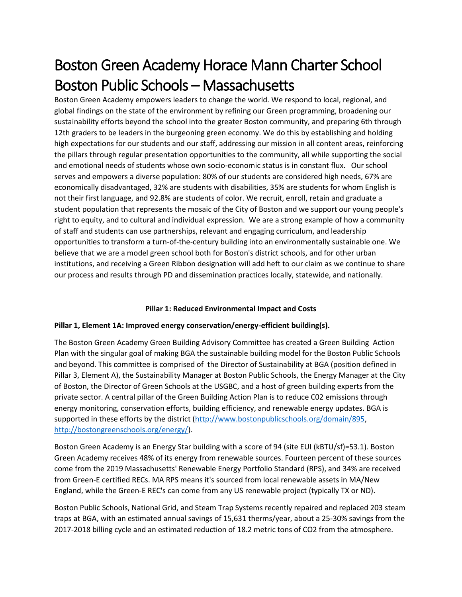# Boston Green Academy Horace Mann Charter School Boston Public Schools – Massachusetts

Boston Green Academy empowers leaders to change the world. We respond to local, regional, and global findings on the state of the environment by refining our Green programming, broadening our sustainability efforts beyond the school into the greater Boston community, and preparing 6th through 12th graders to be leaders in the burgeoning green economy. We do this by establishing and holding high expectations for our students and our staff, addressing our mission in all content areas, reinforcing the pillars through regular presentation opportunities to the community, all while supporting the social and emotional needs of students whose own socio-economic status is in constant flux. Our school serves and empowers a diverse population: 80% of our students are considered high needs, 67% are economically disadvantaged, 32% are students with disabilities, 35% are students for whom English is not their first language, and 92.8% are students of color. We recruit, enroll, retain and graduate a student population that represents the mosaic of the City of Boston and we support our young people's right to equity, and to cultural and individual expression. We are a strong example of how a community of staff and students can use partnerships, relevant and engaging curriculum, and leadership opportunities to transform a turn-of-the-century building into an environmentally sustainable one. We believe that we are a model green school both for Boston's district schools, and for other urban institutions, and receiving a Green Ribbon designation will add heft to our claim as we continue to share our process and results through PD and dissemination practices locally, statewide, and nationally.

#### **Pillar 1: Reduced Environmental Impact and Costs**

#### **Pillar 1, Element 1A: Improved energy conservation/energy-efficient building(s).**

The Boston Green Academy Green Building Advisory Committee has created a Green Building Action Plan with the singular goal of making BGA the sustainable building model for the Boston Public Schools and beyond. This committee is comprised of the Director of Sustainability at BGA (position defined in Pillar 3, Element A), the Sustainability Manager at Boston Public Schools, the Energy Manager at the City of Boston, the Director of Green Schools at the USGBC, and a host of green building experts from the private sector. A central pillar of the Green Building Action Plan is to reduce C02 emissions through energy monitoring, conservation efforts, building efficiency, and renewable energy updates. BGA is supported in these efforts by the district [\(http://www.bostonpublicschools.org/domain/895,](http://www.bostonpublicschools.org/domain/895) [http://bostongreenschools.org/energy/\)](http://bostongreenschools.org/energy/).

Boston Green Academy is an Energy Star building with a score of 94 (site EUI (kBTU/sf)=53.1). Boston Green Academy receives 48% of its energy from renewable sources. Fourteen percent of these sources come from the 2019 Massachusetts' Renewable Energy Portfolio Standard (RPS), and 34% are received from Green-E certified RECs. MA RPS means it's sourced from local renewable assets in MA/New England, while the Green-E REC's can come from any US renewable project (typically TX or ND).

Boston Public Schools, National Grid, and Steam Trap Systems recently repaired and replaced 203 steam traps at BGA, with an estimated annual savings of 15,631 therms/year, about a 25-30% savings from the 2017-2018 billing cycle and an estimated reduction of 18.2 metric tons of CO2 from the atmosphere.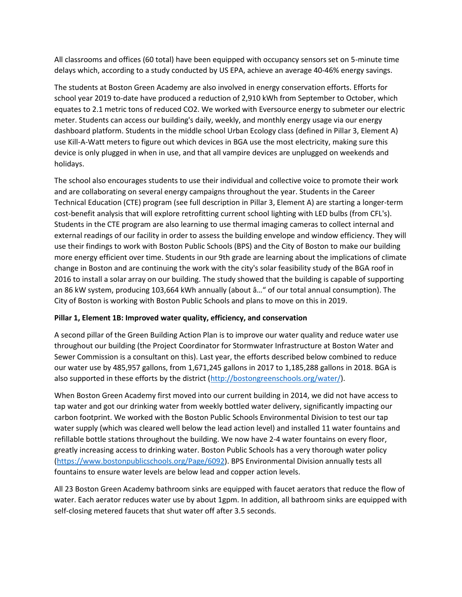All classrooms and offices (60 total) have been equipped with occupancy sensors set on 5-minute time delays which, according to a study conducted by US EPA, achieve an average 40-46% energy savings.

The students at Boston Green Academy are also involved in energy conservation efforts. Efforts for school year 2019 to-date have produced a reduction of 2,910 kWh from September to October, which equates to 2.1 metric tons of reduced CO2. We worked with Eversource energy to submeter our electric meter. Students can access our building's daily, weekly, and monthly energy usage via our energy dashboard platform. Students in the middle school Urban Ecology class (defined in Pillar 3, Element A) use Kill-A-Watt meters to figure out which devices in BGA use the most electricity, making sure this device is only plugged in when in use, and that all vampire devices are unplugged on weekends and holidays.

The school also encourages students to use their individual and collective voice to promote their work and are collaborating on several energy campaigns throughout the year. Students in the Career Technical Education (CTE) program (see full description in Pillar 3, Element A) are starting a longer-term cost-benefit analysis that will explore retrofitting current school lighting with LED bulbs (from CFL's). Students in the CTE program are also learning to use thermal imaging cameras to collect internal and external readings of our facility in order to assess the building envelope and window efficiency. They will use their findings to work with Boston Public Schools (BPS) and the City of Boston to make our building more energy efficient over time. Students in our 9th grade are learning about the implications of climate change in Boston and are continuing the work with the city's solar feasibility study of the BGA roof in 2016 to install a solar array on our building. The study showed that the building is capable of supporting an 86 kW system, producing 103,664 kWh annually (about â…" of our total annual consumption). The City of Boston is working with Boston Public Schools and plans to move on this in 2019.

#### **Pillar 1, Element 1B: Improved water quality, efficiency, and conservation**

A second pillar of the Green Building Action Plan is to improve our water quality and reduce water use throughout our building (the Project Coordinator for Stormwater Infrastructure at Boston Water and Sewer Commission is a consultant on this). Last year, the efforts described below combined to reduce our water use by 485,957 gallons, from 1,671,245 gallons in 2017 to 1,185,288 gallons in 2018. BGA is also supported in these efforts by the district [\(http://bostongreenschools.org/water/\)](http://bostongreenschools.org/water/).

When Boston Green Academy first moved into our current building in 2014, we did not have access to tap water and got our drinking water from weekly bottled water delivery, significantly impacting our carbon footprint. We worked with the Boston Public Schools Environmental Division to test our tap water supply (which was cleared well below the lead action level) and installed 11 water fountains and refillable bottle stations throughout the building. We now have 2-4 water fountains on every floor, greatly increasing access to drinking water. Boston Public Schools has a very thorough water policy [\(https://www.bostonpublicschools.org/Page/6092\)](https://www.bostonpublicschools.org/Page/6092). BPS Environmental Division annually tests all fountains to ensure water levels are below lead and copper action levels.

All 23 Boston Green Academy bathroom sinks are equipped with faucet aerators that reduce the flow of water. Each aerator reduces water use by about 1gpm. In addition, all bathroom sinks are equipped with self-closing metered faucets that shut water off after 3.5 seconds.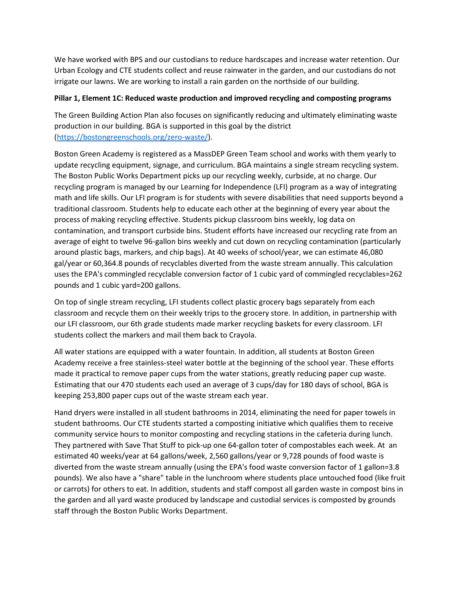We have worked with BPS and our custodians to reduce hardscapes and increase water retention. Our Urban Ecology and CTE students collect and reuse rainwater in the garden, and our custodians do not irrigate our lawns. We are working to install a rain garden on the northside of our building.

#### **Pillar 1, Element 1C: Reduced waste production and improved recycling and composting programs**

The Green Building Action Plan also focuses on significantly reducing and ultimately eliminating waste production in our building. BGA is supported in this goal by the district [\(https://bostongreenschools.org/zero-waste/\)](https://bostongreenschools.org/zero-waste/).

Boston Green Academy is registered as a MassDEP Green Team school and works with them yearly to update recycling equipment, signage, and curriculum. BGA maintains a single stream recycling system. The Boston Public Works Department picks up our recycling weekly, curbside, at no charge. Our recycling program is managed by our Learning for Independence (LFI) program as a way of integrating math and life skills. Our LFI program is for students with severe disabilities that need supports beyond a traditional classroom. Students help to educate each other at the beginning of every year about the process of making recycling effective. Students pickup classroom bins weekly, log data on contamination, and transport curbside bins. Student efforts have increased our recycling rate from an average of eight to twelve 96-gallon bins weekly and cut down on recycling contamination (particularly around plastic bags, markers, and chip bags). At 40 weeks of school/year, we can estimate 46,080 gal/year or 60,364.8 pounds of recyclables diverted from the waste stream annually. This calculation uses the EPA's commingled recyclable conversion factor of 1 cubic yard of commingled recyclables=262 pounds and 1 cubic yard=200 gallons.

On top of single stream recycling, LFI students collect plastic grocery bags separately from each classroom and recycle them on their weekly trips to the grocery store. In addition, in partnership with our LFI classroom, our 6th grade students made marker recycling baskets for every classroom. LFI students collect the markers and mail them back to Crayola.

All water stations are equipped with a water fountain. In addition, all students at Boston Green Academy receive a free stainless-steel water bottle at the beginning of the school year. These efforts made it practical to remove paper cups from the water stations, greatly reducing paper cup waste. Estimating that our 470 students each used an average of 3 cups/day for 180 days of school, BGA is keeping 253,800 paper cups out of the waste stream each year.

Hand dryers were installed in all student bathrooms in 2014, eliminating the need for paper towels in student bathrooms. Our CTE students started a composting initiative which qualifies them to receive community service hours to monitor composting and recycling stations in the cafeteria during lunch. They partnered with Save That Stuff to pick-up one 64-gallon toter of compostables each week. At an estimated 40 weeks/year at 64 gallons/week, 2,560 gallons/year or 9,728 pounds of food waste is diverted from the waste stream annually (using the EPA's food waste conversion factor of 1 gallon=3.8 pounds). We also have a "share" table in the lunchroom where students place untouched food (like fruit or carrots) for others to eat. In addition, students and staff compost all garden waste in compost bins in the garden and all yard waste produced by landscape and custodial services is composted by grounds staff through the Boston Public Works Department.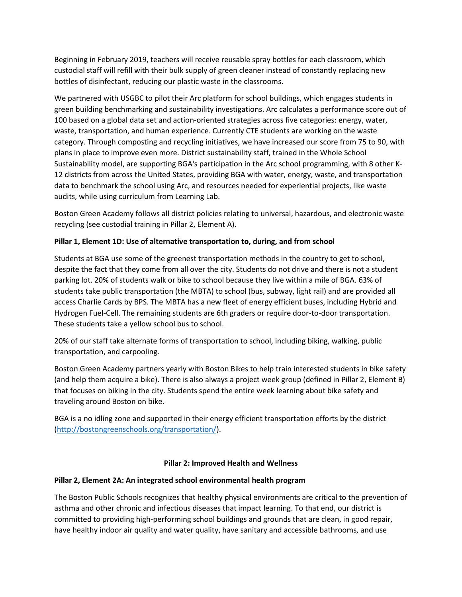Beginning in February 2019, teachers will receive reusable spray bottles for each classroom, which custodial staff will refill with their bulk supply of green cleaner instead of constantly replacing new bottles of disinfectant, reducing our plastic waste in the classrooms.

We partnered with USGBC to pilot their Arc platform for school buildings, which engages students in green building benchmarking and sustainability investigations. Arc calculates a performance score out of 100 based on a global data set and action-oriented strategies across five categories: energy, water, waste, transportation, and human experience. Currently CTE students are working on the waste category. Through composting and recycling initiatives, we have increased our score from 75 to 90, with plans in place to improve even more. District sustainability staff, trained in the Whole School Sustainability model, are supporting BGA's participation in the Arc school programming, with 8 other K-12 districts from across the United States, providing BGA with water, energy, waste, and transportation data to benchmark the school using Arc, and resources needed for experiential projects, like waste audits, while using curriculum from Learning Lab.

Boston Green Academy follows all district policies relating to universal, hazardous, and electronic waste recycling (see custodial training in Pillar 2, Element A).

#### **Pillar 1, Element 1D: Use of alternative transportation to, during, and from school**

Students at BGA use some of the greenest transportation methods in the country to get to school, despite the fact that they come from all over the city. Students do not drive and there is not a student parking lot. 20% of students walk or bike to school because they live within a mile of BGA. 63% of students take public transportation (the MBTA) to school (bus, subway, light rail) and are provided all access Charlie Cards by BPS. The MBTA has a new fleet of energy efficient buses, including Hybrid and Hydrogen Fuel-Cell. The remaining students are 6th graders or require door-to-door transportation. These students take a yellow school bus to school.

20% of our staff take alternate forms of transportation to school, including biking, walking, public transportation, and carpooling.

Boston Green Academy partners yearly with Boston Bikes to help train interested students in bike safety (and help them acquire a bike). There is also always a project week group (defined in Pillar 2, Element B) that focuses on biking in the city. Students spend the entire week learning about bike safety and traveling around Boston on bike.

BGA is a no idling zone and supported in their energy efficient transportation efforts by the district [\(http://bostongreenschools.org/transportation/\)](http://bostongreenschools.org/transportation/).

#### **Pillar 2: Improved Health and Wellness**

#### **Pillar 2, Element 2A: An integrated school environmental health program**

The Boston Public Schools recognizes that healthy physical environments are critical to the prevention of asthma and other chronic and infectious diseases that impact learning. To that end, our district is committed to providing high-performing school buildings and grounds that are clean, in good repair, have healthy indoor air quality and water quality, have sanitary and accessible bathrooms, and use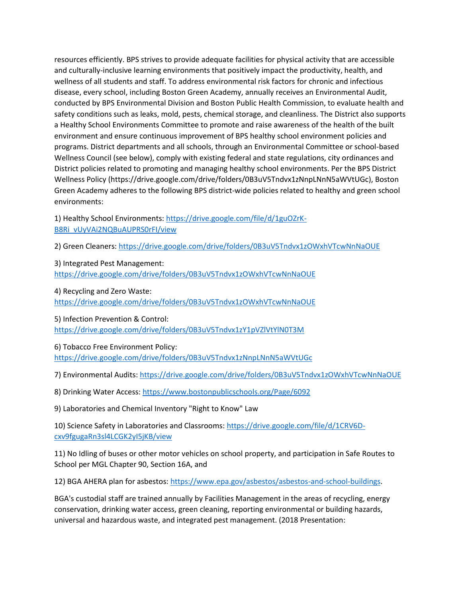resources efficiently. BPS strives to provide adequate facilities for physical activity that are accessible and culturally-inclusive learning environments that positively impact the productivity, health, and wellness of all students and staff. To address environmental risk factors for chronic and infectious disease, every school, including Boston Green Academy, annually receives an Environmental Audit, conducted by BPS Environmental Division and Boston Public Health Commission, to evaluate health and safety conditions such as leaks, mold, pests, chemical storage, and cleanliness. The District also supports a Healthy School Environments Committee to promote and raise awareness of the health of the built environment and ensure continuous improvement of BPS healthy school environment policies and programs. District departments and all schools, through an Environmental Committee or school-based Wellness Council (see below), comply with existing federal and state regulations, city ordinances and District policies related to promoting and managing healthy school environments. Per the BPS District Wellness Policy (https://drive.google.com/drive/folders/0B3uV5Tndvx1zNnpLNnN5aWVtUGc), Boston Green Academy adheres to the following BPS district-wide policies related to healthy and green school environments:

1) Healthy School Environments: [https://drive.google.com/file/d/1guOZrK-](https://drive.google.com/file/d/1guOZrK-B8Ri_vUyVAi2NQBuAUPRS0rFI/view)[B8Ri\\_vUyVAi2NQBuAUPRS0rFI/view](https://drive.google.com/file/d/1guOZrK-B8Ri_vUyVAi2NQBuAUPRS0rFI/view)

2) Green Cleaners:<https://drive.google.com/drive/folders/0B3uV5Tndvx1zOWxhVTcwNnNaOUE>

3) Integrated Pest Management: <https://drive.google.com/drive/folders/0B3uV5Tndvx1zOWxhVTcwNnNaOUE>

4) Recycling and Zero Waste:

<https://drive.google.com/drive/folders/0B3uV5Tndvx1zOWxhVTcwNnNaOUE>

5) Infection Prevention & Control: <https://drive.google.com/drive/folders/0B3uV5Tndvx1zY1pVZlVtYlN0T3M>

6) Tobacco Free Environment Policy: <https://drive.google.com/drive/folders/0B3uV5Tndvx1zNnpLNnN5aWVtUGc>

7) Environmental Audits:<https://drive.google.com/drive/folders/0B3uV5Tndvx1zOWxhVTcwNnNaOUE>

8) Drinking Water Access:<https://www.bostonpublicschools.org/Page/6092>

9) Laboratories and Chemical Inventory "Right to Know" Law

10) Science Safety in Laboratories and Classrooms[: https://drive.google.com/file/d/1CRV6D](https://drive.google.com/file/d/1CRV6D-cxv9fgugaRn3sl4LCGK2yI5jKB/view)[cxv9fgugaRn3sl4LCGK2yI5jKB/view](https://drive.google.com/file/d/1CRV6D-cxv9fgugaRn3sl4LCGK2yI5jKB/view)

11) No Idling of buses or other motor vehicles on school property, and participation in Safe Routes to School per MGL Chapter 90, Section 16A, and

12) BGA AHERA plan for asbestos: [https://www.epa.gov/asbestos/asbestos-and-school-buildings.](https://www.epa.gov/asbestos/asbestos-and-school-buildings)

BGA's custodial staff are trained annually by Facilities Management in the areas of recycling, energy conservation, drinking water access, green cleaning, reporting environmental or building hazards, universal and hazardous waste, and integrated pest management. (2018 Presentation: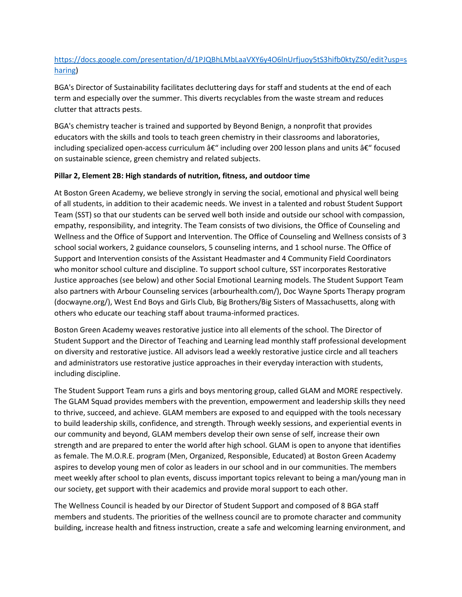## [https://docs.google.com/presentation/d/1PJQBhLMbLaaVXY6y4O6lnUrfjuoy5tS3hifb0ktyZS0/edit?usp=s](https://docs.google.com/presentation/d/1PJQBhLMbLaaVXY6y4O6lnUrfjuoy5tS3hifb0ktyZS0/edit?usp=sharing) [haring\)](https://docs.google.com/presentation/d/1PJQBhLMbLaaVXY6y4O6lnUrfjuoy5tS3hifb0ktyZS0/edit?usp=sharing)

BGA's Director of Sustainability facilitates decluttering days for staff and students at the end of each term and especially over the summer. This diverts recyclables from the waste stream and reduces clutter that attracts pests.

BGA's chemistry teacher is trained and supported by Beyond Benign, a nonprofit that provides educators with the skills and tools to teach green chemistry in their classrooms and laboratories, including specialized open-access curriculum  $\hat{a}\epsilon$ " including over 200 lesson plans and units  $\hat{a}\epsilon$ " focused on sustainable science, green chemistry and related subjects.

#### **Pillar 2, Element 2B: High standards of nutrition, fitness, and outdoor time**

At Boston Green Academy, we believe strongly in serving the social, emotional and physical well being of all students, in addition to their academic needs. We invest in a talented and robust Student Support Team (SST) so that our students can be served well both inside and outside our school with compassion, empathy, responsibility, and integrity. The Team consists of two divisions, the Office of Counseling and Wellness and the Office of Support and Intervention. The Office of Counseling and Wellness consists of 3 school social workers, 2 guidance counselors, 5 counseling interns, and 1 school nurse. The Office of Support and Intervention consists of the Assistant Headmaster and 4 Community Field Coordinators who monitor school culture and discipline. To support school culture, SST incorporates Restorative Justice approaches (see below) and other Social Emotional Learning models. The Student Support Team also partners with Arbour Counseling services (arbourhealth.com/), Doc Wayne Sports Therapy program (docwayne.org/), West End Boys and Girls Club, Big Brothers/Big Sisters of Massachusetts, along with others who educate our teaching staff about trauma-informed practices.

Boston Green Academy weaves restorative justice into all elements of the school. The Director of Student Support and the Director of Teaching and Learning lead monthly staff professional development on diversity and restorative justice. All advisors lead a weekly restorative justice circle and all teachers and administrators use restorative justice approaches in their everyday interaction with students, including discipline.

The Student Support Team runs a girls and boys mentoring group, called GLAM and MORE respectively. The GLAM Squad provides members with the prevention, empowerment and leadership skills they need to thrive, succeed, and achieve. GLAM members are exposed to and equipped with the tools necessary to build leadership skills, confidence, and strength. Through weekly sessions, and experiential events in our community and beyond, GLAM members develop their own sense of self, increase their own strength and are prepared to enter the world after high school. GLAM is open to anyone that identifies as female. The M.O.R.E. program (Men, Organized, Responsible, Educated) at Boston Green Academy aspires to develop young men of color as leaders in our school and in our communities. The members meet weekly after school to plan events, discuss important topics relevant to being a man/young man in our society, get support with their academics and provide moral support to each other.

The Wellness Council is headed by our Director of Student Support and composed of 8 BGA staff members and students. The priorities of the wellness council are to promote character and community building, increase health and fitness instruction, create a safe and welcoming learning environment, and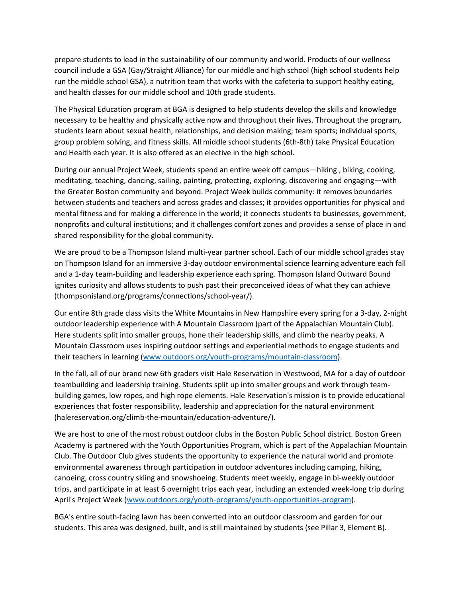prepare students to lead in the sustainability of our community and world. Products of our wellness council include a GSA (Gay/Straight Alliance) for our middle and high school (high school students help run the middle school GSA), a nutrition team that works with the cafeteria to support healthy eating, and health classes for our middle school and 10th grade students.

The Physical Education program at BGA is designed to help students develop the skills and knowledge necessary to be healthy and physically active now and throughout their lives. Throughout the program, students learn about sexual health, relationships, and decision making; team sports; individual sports, group problem solving, and fitness skills. All middle school students (6th-8th) take Physical Education and Health each year. It is also offered as an elective in the high school.

During our annual Project Week, students spend an entire week off campus—hiking , biking, cooking, meditating, teaching, dancing, sailing, painting, protecting, exploring, discovering and engaging—with the Greater Boston community and beyond. Project Week builds community: it removes boundaries between students and teachers and across grades and classes; it provides opportunities for physical and mental fitness and for making a difference in the world; it connects students to businesses, government, nonprofits and cultural institutions; and it challenges comfort zones and provides a sense of place in and shared responsibility for the global community.

We are proud to be a Thompson Island multi-year partner school. Each of our middle school grades stay on Thompson Island for an immersive 3-day outdoor environmental science learning adventure each fall and a 1-day team-building and leadership experience each spring. Thompson Island Outward Bound ignites curiosity and allows students to push past their preconceived ideas of what they can achieve (thompsonisland.org/programs/connections/school-year/).

Our entire 8th grade class visits the White Mountains in New Hampshire every spring for a 3-day, 2-night outdoor leadership experience with A Mountain Classroom (part of the Appalachian Mountain Club). Here students split into smaller groups, hone their leadership skills, and climb the nearby peaks. A Mountain Classroom uses inspiring outdoor settings and experiential methods to engage students and their teachers in learning [\(www.outdoors.org/youth-programs/mountain-classroom\)](http://www.outdoors.org/youth-programs/mountain-classroom).

In the fall, all of our brand new 6th graders visit Hale Reservation in Westwood, MA for a day of outdoor teambuilding and leadership training. Students split up into smaller groups and work through teambuilding games, low ropes, and high rope elements. Hale Reservation's mission is to provide educational experiences that foster responsibility, leadership and appreciation for the natural environment (halereservation.org/climb-the-mountain/education-adventure/).

We are host to one of the most robust outdoor clubs in the Boston Public School district. Boston Green Academy is partnered with the Youth Opportunities Program, which is part of the Appalachian Mountain Club. The Outdoor Club gives students the opportunity to experience the natural world and promote environmental awareness through participation in outdoor adventures including camping, hiking, canoeing, cross country skiing and snowshoeing. Students meet weekly, engage in bi-weekly outdoor trips, and participate in at least 6 overnight trips each year, including an extended week-long trip during April's Project Week [\(www.outdoors.org/youth-programs/youth-opportunities-program\)](http://www.outdoors.org/youth-programs/youth-opportunities-program).

BGA's entire south-facing lawn has been converted into an outdoor classroom and garden for our students. This area was designed, built, and is still maintained by students (see Pillar 3, Element B).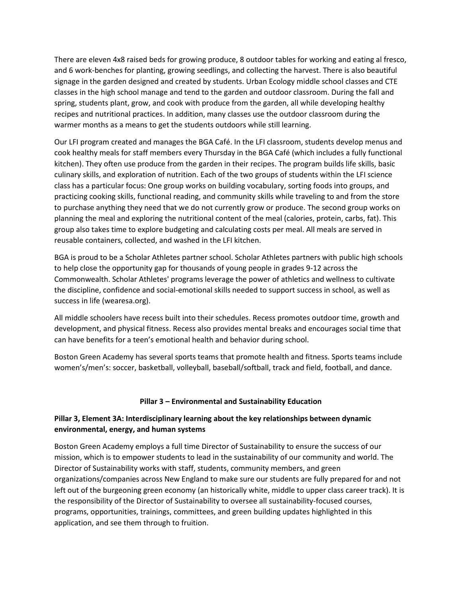There are eleven 4x8 raised beds for growing produce, 8 outdoor tables for working and eating al fresco, and 6 work-benches for planting, growing seedlings, and collecting the harvest. There is also beautiful signage in the garden designed and created by students. Urban Ecology middle school classes and CTE classes in the high school manage and tend to the garden and outdoor classroom. During the fall and spring, students plant, grow, and cook with produce from the garden, all while developing healthy recipes and nutritional practices. In addition, many classes use the outdoor classroom during the warmer months as a means to get the students outdoors while still learning.

Our LFI program created and manages the BGA Café. In the LFI classroom, students develop menus and cook healthy meals for staff members every Thursday in the BGA Café (which includes a fully functional kitchen). They often use produce from the garden in their recipes. The program builds life skills, basic culinary skills, and exploration of nutrition. Each of the two groups of students within the LFI science class has a particular focus: One group works on building vocabulary, sorting foods into groups, and practicing cooking skills, functional reading, and community skills while traveling to and from the store to purchase anything they need that we do not currently grow or produce. The second group works on planning the meal and exploring the nutritional content of the meal (calories, protein, carbs, fat). This group also takes time to explore budgeting and calculating costs per meal. All meals are served in reusable containers, collected, and washed in the LFI kitchen.

BGA is proud to be a Scholar Athletes partner school. Scholar Athletes partners with public high schools to help close the opportunity gap for thousands of young people in grades 9-12 across the Commonwealth. Scholar Athletes' programs leverage the power of athletics and wellness to cultivate the discipline, confidence and social-emotional skills needed to support success in school, as well as success in life (wearesa.org).

All middle schoolers have recess built into their schedules. Recess promotes outdoor time, growth and development, and physical fitness. Recess also provides mental breaks and encourages social time that can have benefits for a teen's emotional health and behavior during school.

Boston Green Academy has several sports teams that promote health and fitness. Sports teams include women's/men's: soccer, basketball, volleyball, baseball/softball, track and field, football, and dance.

#### **Pillar 3 – Environmental and Sustainability Education**

#### **Pillar 3, Element 3A: Interdisciplinary learning about the key relationships between dynamic environmental, energy, and human systems**

Boston Green Academy employs a full time Director of Sustainability to ensure the success of our mission, which is to empower students to lead in the sustainability of our community and world. The Director of Sustainability works with staff, students, community members, and green organizations/companies across New England to make sure our students are fully prepared for and not left out of the burgeoning green economy (an historically white, middle to upper class career track). It is the responsibility of the Director of Sustainability to oversee all sustainability-focused courses, programs, opportunities, trainings, committees, and green building updates highlighted in this application, and see them through to fruition.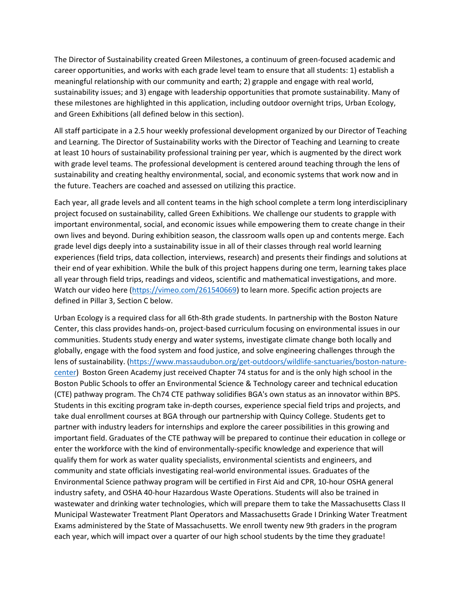The Director of Sustainability created Green Milestones, a continuum of green-focused academic and career opportunities, and works with each grade level team to ensure that all students: 1) establish a meaningful relationship with our community and earth; 2) grapple and engage with real world, sustainability issues; and 3) engage with leadership opportunities that promote sustainability. Many of these milestones are highlighted in this application, including outdoor overnight trips, Urban Ecology, and Green Exhibitions (all defined below in this section).

All staff participate in a 2.5 hour weekly professional development organized by our Director of Teaching and Learning. The Director of Sustainability works with the Director of Teaching and Learning to create at least 10 hours of sustainability professional training per year, which is augmented by the direct work with grade level teams. The professional development is centered around teaching through the lens of sustainability and creating healthy environmental, social, and economic systems that work now and in the future. Teachers are coached and assessed on utilizing this practice.

Each year, all grade levels and all content teams in the high school complete a term long interdisciplinary project focused on sustainability, called Green Exhibitions. We challenge our students to grapple with important environmental, social, and economic issues while empowering them to create change in their own lives and beyond. During exhibition season, the classroom walls open up and contents merge. Each grade level digs deeply into a sustainability issue in all of their classes through real world learning experiences (field trips, data collection, interviews, research) and presents their findings and solutions at their end of year exhibition. While the bulk of this project happens during one term, learning takes place all year through field trips, readings and videos, scientific and mathematical investigations, and more. Watch our video here [\(https://vimeo.com/261540669\)](https://vimeo.com/261540669) to learn more. Specific action projects are defined in Pillar 3, Section C below.

Urban Ecology is a required class for all 6th-8th grade students. In partnership with the Boston Nature Center, this class provides hands-on, project-based curriculum focusing on environmental issues in our communities. Students study energy and water systems, investigate climate change both locally and globally, engage with the food system and food justice, and solve engineering challenges through the lens of sustainability. [\(https://www.massaudubon.org/get-outdoors/wildlife-sanctuaries/boston-nature](https://www.massaudubon.org/get-outdoors/wildlife-sanctuaries/boston-nature-center)[center\)](https://www.massaudubon.org/get-outdoors/wildlife-sanctuaries/boston-nature-center) Boston Green Academy just received Chapter 74 status for and is the only high school in the Boston Public Schools to offer an Environmental Science & Technology career and technical education (CTE) pathway program. The Ch74 CTE pathway solidifies BGA's own status as an innovator within BPS. Students in this exciting program take in-depth courses, experience special field trips and projects, and take dual enrollment courses at BGA through our partnership with Quincy College. Students get to partner with industry leaders for internships and explore the career possibilities in this growing and important field. Graduates of the CTE pathway will be prepared to continue their education in college or enter the workforce with the kind of environmentally-specific knowledge and experience that will qualify them for work as water quality specialists, environmental scientists and engineers, and community and state officials investigating real-world environmental issues. Graduates of the Environmental Science pathway program will be certified in First Aid and CPR, 10-hour OSHA general industry safety, and OSHA 40-hour Hazardous Waste Operations. Students will also be trained in wastewater and drinking water technologies, which will prepare them to take the Massachusetts Class II Municipal Wastewater Treatment Plant Operators and Massachusetts Grade I Drinking Water Treatment Exams administered by the State of Massachusetts. We enroll twenty new 9th graders in the program each year, which will impact over a quarter of our high school students by the time they graduate!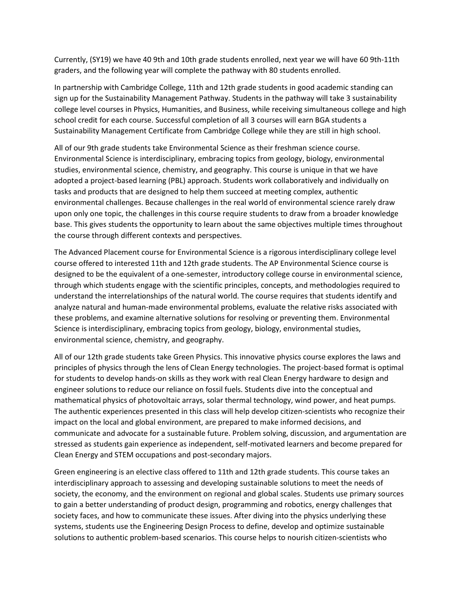Currently, (SY19) we have 40 9th and 10th grade students enrolled, next year we will have 60 9th-11th graders, and the following year will complete the pathway with 80 students enrolled.

In partnership with Cambridge College, 11th and 12th grade students in good academic standing can sign up for the Sustainability Management Pathway. Students in the pathway will take 3 sustainability college level courses in Physics, Humanities, and Business, while receiving simultaneous college and high school credit for each course. Successful completion of all 3 courses will earn BGA students a Sustainability Management Certificate from Cambridge College while they are still in high school.

All of our 9th grade students take Environmental Science as their freshman science course. Environmental Science is interdisciplinary, embracing topics from geology, biology, environmental studies, environmental science, chemistry, and geography. This course is unique in that we have adopted a project-based learning (PBL) approach. Students work collaboratively and individually on tasks and products that are designed to help them succeed at meeting complex, authentic environmental challenges. Because challenges in the real world of environmental science rarely draw upon only one topic, the challenges in this course require students to draw from a broader knowledge base. This gives students the opportunity to learn about the same objectives multiple times throughout the course through different contexts and perspectives.

The Advanced Placement course for Environmental Science is a rigorous interdisciplinary college level course offered to interested 11th and 12th grade students. The AP Environmental Science course is designed to be the equivalent of a one-semester, introductory college course in environmental science, through which students engage with the scientific principles, concepts, and methodologies required to understand the interrelationships of the natural world. The course requires that students identify and analyze natural and human-made environmental problems, evaluate the relative risks associated with these problems, and examine alternative solutions for resolving or preventing them. Environmental Science is interdisciplinary, embracing topics from geology, biology, environmental studies, environmental science, chemistry, and geography.

All of our 12th grade students take Green Physics. This innovative physics course explores the laws and principles of physics through the lens of Clean Energy technologies. The project-based format is optimal for students to develop hands-on skills as they work with real Clean Energy hardware to design and engineer solutions to reduce our reliance on fossil fuels. Students dive into the conceptual and mathematical physics of photovoltaic arrays, solar thermal technology, wind power, and heat pumps. The authentic experiences presented in this class will help develop citizen-scientists who recognize their impact on the local and global environment, are prepared to make informed decisions, and communicate and advocate for a sustainable future. Problem solving, discussion, and argumentation are stressed as students gain experience as independent, self-motivated learners and become prepared for Clean Energy and STEM occupations and post-secondary majors.

Green engineering is an elective class offered to 11th and 12th grade students. This course takes an interdisciplinary approach to assessing and developing sustainable solutions to meet the needs of society, the economy, and the environment on regional and global scales. Students use primary sources to gain a better understanding of product design, programming and robotics, energy challenges that society faces, and how to communicate these issues. After diving into the physics underlying these systems, students use the Engineering Design Process to define, develop and optimize sustainable solutions to authentic problem-based scenarios. This course helps to nourish citizen-scientists who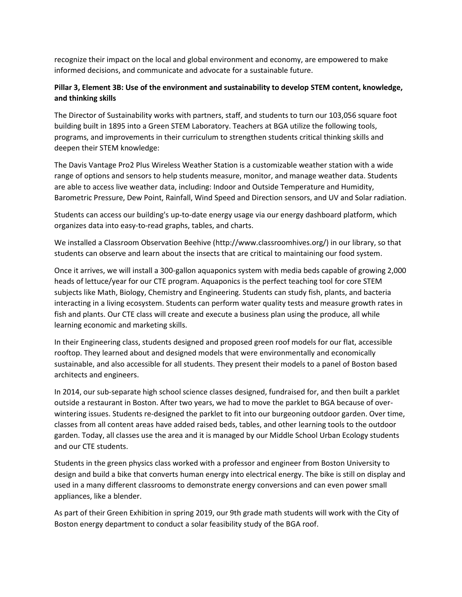recognize their impact on the local and global environment and economy, are empowered to make informed decisions, and communicate and advocate for a sustainable future.

#### **Pillar 3, Element 3B: Use of the environment and sustainability to develop STEM content, knowledge, and thinking skills**

The Director of Sustainability works with partners, staff, and students to turn our 103,056 square foot building built in 1895 into a Green STEM Laboratory. Teachers at BGA utilize the following tools, programs, and improvements in their curriculum to strengthen students critical thinking skills and deepen their STEM knowledge:

The Davis Vantage Pro2 Plus Wireless Weather Station is a customizable weather station with a wide range of options and sensors to help students measure, monitor, and manage weather data. Students are able to access live weather data, including: Indoor and Outside Temperature and Humidity, Barometric Pressure, Dew Point, Rainfall, Wind Speed and Direction sensors, and UV and Solar radiation.

Students can access our building's up-to-date energy usage via our energy dashboard platform, which organizes data into easy-to-read graphs, tables, and charts.

We installed a Classroom Observation Beehive (http://www.classroomhives.org/) in our library, so that students can observe and learn about the insects that are critical to maintaining our food system.

Once it arrives, we will install a 300-gallon aquaponics system with media beds capable of growing 2,000 heads of lettuce/year for our CTE program. Aquaponics is the perfect teaching tool for core STEM subjects like Math, Biology, Chemistry and Engineering. Students can study fish, plants, and bacteria interacting in a living ecosystem. Students can perform water quality tests and measure growth rates in fish and plants. Our CTE class will create and execute a business plan using the produce, all while learning economic and marketing skills.

In their Engineering class, students designed and proposed green roof models for our flat, accessible rooftop. They learned about and designed models that were environmentally and economically sustainable, and also accessible for all students. They present their models to a panel of Boston based architects and engineers.

In 2014, our sub-separate high school science classes designed, fundraised for, and then built a parklet outside a restaurant in Boston. After two years, we had to move the parklet to BGA because of overwintering issues. Students re-designed the parklet to fit into our burgeoning outdoor garden. Over time, classes from all content areas have added raised beds, tables, and other learning tools to the outdoor garden. Today, all classes use the area and it is managed by our Middle School Urban Ecology students and our CTE students.

Students in the green physics class worked with a professor and engineer from Boston University to design and build a bike that converts human energy into electrical energy. The bike is still on display and used in a many different classrooms to demonstrate energy conversions and can even power small appliances, like a blender.

As part of their Green Exhibition in spring 2019, our 9th grade math students will work with the City of Boston energy department to conduct a solar feasibility study of the BGA roof.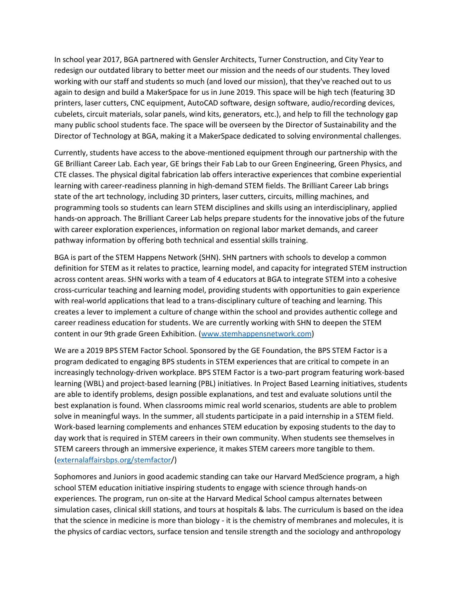In school year 2017, BGA partnered with Gensler Architects, Turner Construction, and City Year to redesign our outdated library to better meet our mission and the needs of our students. They loved working with our staff and students so much (and loved our mission), that they've reached out to us again to design and build a MakerSpace for us in June 2019. This space will be high tech (featuring 3D printers, laser cutters, CNC equipment, AutoCAD software, design software, audio/recording devices, cubelets, circuit materials, solar panels, wind kits, generators, etc.), and help to fill the technology gap many public school students face. The space will be overseen by the Director of Sustainability and the Director of Technology at BGA, making it a MakerSpace dedicated to solving environmental challenges.

Currently, students have access to the above-mentioned equipment through our partnership with the GE Brilliant Career Lab. Each year, GE brings their Fab Lab to our Green Engineering, Green Physics, and CTE classes. The physical digital fabrication lab offers interactive experiences that combine experiential learning with career-readiness planning in high-demand STEM fields. The Brilliant Career Lab brings state of the art technology, including 3D printers, laser cutters, circuits, milling machines, and programming tools so students can learn STEM disciplines and skills using an interdisciplinary, applied hands-on approach. The Brilliant Career Lab helps prepare students for the innovative jobs of the future with career exploration experiences, information on regional labor market demands, and career pathway information by offering both technical and essential skills training.

BGA is part of the STEM Happens Network (SHN). SHN partners with schools to develop a common definition for STEM as it relates to practice, learning model, and capacity for integrated STEM instruction across content areas. SHN works with a team of 4 educators at BGA to integrate STEM into a cohesive cross-curricular teaching and learning model, providing students with opportunities to gain experience with real-world applications that lead to a trans-disciplinary culture of teaching and learning. This creates a lever to implement a culture of change within the school and provides authentic college and career readiness education for students. We are currently working with SHN to deepen the STEM content in our 9th grade Green Exhibition. [\(www.stemhappensnetwork.com\)](http://www.stemhappensnetwork.com/)

We are a 2019 BPS STEM Factor School. Sponsored by the GE Foundation, the BPS STEM Factor is a program dedicated to engaging BPS students in STEM experiences that are critical to compete in an increasingly technology-driven workplace. BPS STEM Factor is a two-part program featuring work-based learning (WBL) and project-based learning (PBL) initiatives. In Project Based Learning initiatives, students are able to identify problems, design possible explanations, and test and evaluate solutions until the best explanation is found. When classrooms mimic real world scenarios, students are able to problem solve in meaningful ways. In the summer, all students participate in a paid internship in a STEM field. Work-based learning complements and enhances STEM education by exposing students to the day to day work that is required in STEM careers in their own community. When students see themselves in STEM careers through an immersive experience, it makes STEM careers more tangible to them. [\(externalaffairsbps.org/stemfactor/](https://externalaffairsbps.org/stemfactor/))

Sophomores and Juniors in good academic standing can take our Harvard MedScience program, a high school STEM education initiative inspiring students to engage with science through hands-on experiences. The program, run on-site at the Harvard Medical School campus alternates between simulation cases, clinical skill stations, and tours at hospitals & labs. The curriculum is based on the idea that the science in medicine is more than biology - it is the chemistry of membranes and molecules, it is the physics of cardiac vectors, surface tension and tensile strength and the sociology and anthropology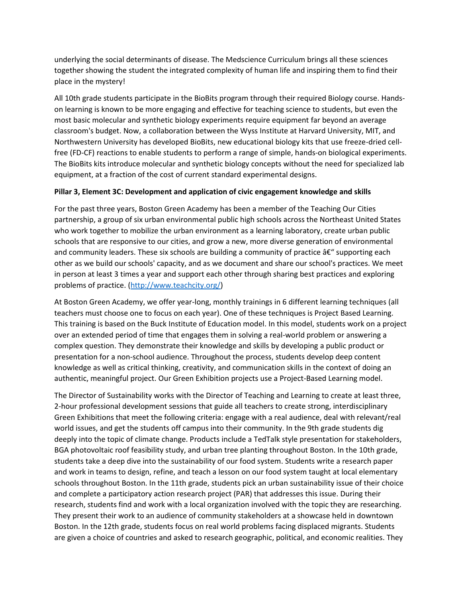underlying the social determinants of disease. The Medscience Curriculum brings all these sciences together showing the student the integrated complexity of human life and inspiring them to find their place in the mystery!

All 10th grade students participate in the BioBits program through their required Biology course. Handson learning is known to be more engaging and effective for teaching science to students, but even the most basic molecular and synthetic biology experiments require equipment far beyond an average classroom's budget. Now, a collaboration between the Wyss Institute at Harvard University, MIT, and Northwestern University has developed BioBits, new educational biology kits that use freeze-dried cellfree (FD-CF) reactions to enable students to perform a range of simple, hands-on biological experiments. The BioBits kits introduce molecular and synthetic biology concepts without the need for specialized lab equipment, at a fraction of the cost of current standard experimental designs.

#### **Pillar 3, Element 3C: Development and application of civic engagement knowledge and skills**

For the past three years, Boston Green Academy has been a member of the Teaching Our Cities partnership, a group of six urban environmental public high schools across the Northeast United States who work together to mobilize the urban environment as a learning laboratory, create urban public schools that are responsive to our cities, and grow a new, more diverse generation of environmental and community leaders. These six schools are building a community of practice  $a \in \mathcal{F}$  supporting each other as we build our schools' capacity, and as we document and share our school's practices. We meet in person at least 3 times a year and support each other through sharing best practices and exploring problems of practice. [\(http://www.teachcity.org/\)](http://www.teachcity.org/)

At Boston Green Academy, we offer year-long, monthly trainings in 6 different learning techniques (all teachers must choose one to focus on each year). One of these techniques is Project Based Learning. This training is based on the Buck Institute of Education model. In this model, students work on a project over an extended period of time that engages them in solving a real-world problem or answering a complex question. They demonstrate their knowledge and skills by developing a public product or presentation for a non-school audience. Throughout the process, students develop deep content knowledge as well as critical thinking, creativity, and communication skills in the context of doing an authentic, meaningful project. Our Green Exhibition projects use a Project-Based Learning model.

The Director of Sustainability works with the Director of Teaching and Learning to create at least three, 2-hour professional development sessions that guide all teachers to create strong, interdisciplinary Green Exhibitions that meet the following criteria: engage with a real audience, deal with relevant/real world issues, and get the students off campus into their community. In the 9th grade students dig deeply into the topic of climate change. Products include a TedTalk style presentation for stakeholders, BGA photovoltaic roof feasibility study, and urban tree planting throughout Boston. In the 10th grade, students take a deep dive into the sustainability of our food system. Students write a research paper and work in teams to design, refine, and teach a lesson on our food system taught at local elementary schools throughout Boston. In the 11th grade, students pick an urban sustainability issue of their choice and complete a participatory action research project (PAR) that addresses this issue. During their research, students find and work with a local organization involved with the topic they are researching. They present their work to an audience of community stakeholders at a showcase held in downtown Boston. In the 12th grade, students focus on real world problems facing displaced migrants. Students are given a choice of countries and asked to research geographic, political, and economic realities. They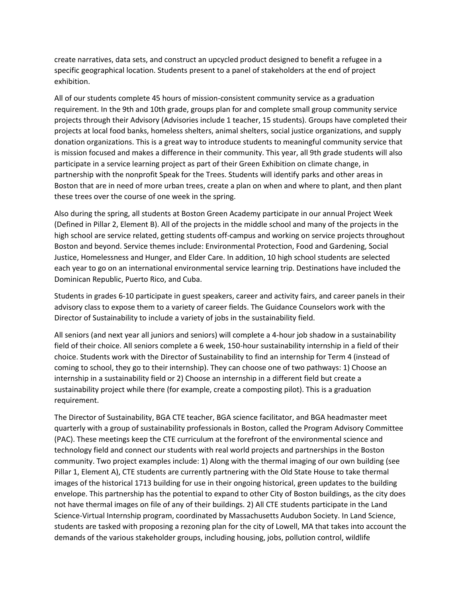create narratives, data sets, and construct an upcycled product designed to benefit a refugee in a specific geographical location. Students present to a panel of stakeholders at the end of project exhibition.

All of our students complete 45 hours of mission-consistent community service as a graduation requirement. In the 9th and 10th grade, groups plan for and complete small group community service projects through their Advisory (Advisories include 1 teacher, 15 students). Groups have completed their projects at local food banks, homeless shelters, animal shelters, social justice organizations, and supply donation organizations. This is a great way to introduce students to meaningful community service that is mission focused and makes a difference in their community. This year, all 9th grade students will also participate in a service learning project as part of their Green Exhibition on climate change, in partnership with the nonprofit Speak for the Trees. Students will identify parks and other areas in Boston that are in need of more urban trees, create a plan on when and where to plant, and then plant these trees over the course of one week in the spring.

Also during the spring, all students at Boston Green Academy participate in our annual Project Week (Defined in Pillar 2, Element B). All of the projects in the middle school and many of the projects in the high school are service related, getting students off-campus and working on service projects throughout Boston and beyond. Service themes include: Environmental Protection, Food and Gardening, Social Justice, Homelessness and Hunger, and Elder Care. In addition, 10 high school students are selected each year to go on an international environmental service learning trip. Destinations have included the Dominican Republic, Puerto Rico, and Cuba.

Students in grades 6-10 participate in guest speakers, career and activity fairs, and career panels in their advisory class to expose them to a variety of career fields. The Guidance Counselors work with the Director of Sustainability to include a variety of jobs in the sustainability field.

All seniors (and next year all juniors and seniors) will complete a 4-hour job shadow in a sustainability field of their choice. All seniors complete a 6 week, 150-hour sustainability internship in a field of their choice. Students work with the Director of Sustainability to find an internship for Term 4 (instead of coming to school, they go to their internship). They can choose one of two pathways: 1) Choose an internship in a sustainability field or 2) Choose an internship in a different field but create a sustainability project while there (for example, create a composting pilot). This is a graduation requirement.

The Director of Sustainability, BGA CTE teacher, BGA science facilitator, and BGA headmaster meet quarterly with a group of sustainability professionals in Boston, called the Program Advisory Committee (PAC). These meetings keep the CTE curriculum at the forefront of the environmental science and technology field and connect our students with real world projects and partnerships in the Boston community. Two project examples include: 1) Along with the thermal imaging of our own building (see Pillar 1, Element A), CTE students are currently partnering with the Old State House to take thermal images of the historical 1713 building for use in their ongoing historical, green updates to the building envelope. This partnership has the potential to expand to other City of Boston buildings, as the city does not have thermal images on file of any of their buildings. 2) All CTE students participate in the Land Science-Virtual Internship program, coordinated by Massachusetts Audubon Society. In Land Science, students are tasked with proposing a rezoning plan for the city of Lowell, MA that takes into account the demands of the various stakeholder groups, including housing, jobs, pollution control, wildlife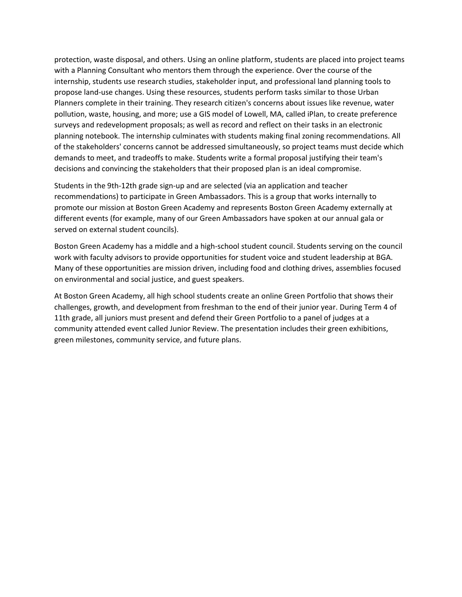protection, waste disposal, and others. Using an online platform, students are placed into project teams with a Planning Consultant who mentors them through the experience. Over the course of the internship, students use research studies, stakeholder input, and professional land planning tools to propose land-use changes. Using these resources, students perform tasks similar to those Urban Planners complete in their training. They research citizen's concerns about issues like revenue, water pollution, waste, housing, and more; use a GIS model of Lowell, MA, called iPlan, to create preference surveys and redevelopment proposals; as well as record and reflect on their tasks in an electronic planning notebook. The internship culminates with students making final zoning recommendations. All of the stakeholders' concerns cannot be addressed simultaneously, so project teams must decide which demands to meet, and tradeoffs to make. Students write a formal proposal justifying their team's decisions and convincing the stakeholders that their proposed plan is an ideal compromise.

Students in the 9th-12th grade sign-up and are selected (via an application and teacher recommendations) to participate in Green Ambassadors. This is a group that works internally to promote our mission at Boston Green Academy and represents Boston Green Academy externally at different events (for example, many of our Green Ambassadors have spoken at our annual gala or served on external student councils).

Boston Green Academy has a middle and a high-school student council. Students serving on the council work with faculty advisors to provide opportunities for student voice and student leadership at BGA. Many of these opportunities are mission driven, including food and clothing drives, assemblies focused on environmental and social justice, and guest speakers.

At Boston Green Academy, all high school students create an online Green Portfolio that shows their challenges, growth, and development from freshman to the end of their junior year. During Term 4 of 11th grade, all juniors must present and defend their Green Portfolio to a panel of judges at a community attended event called Junior Review. The presentation includes their green exhibitions, green milestones, community service, and future plans.